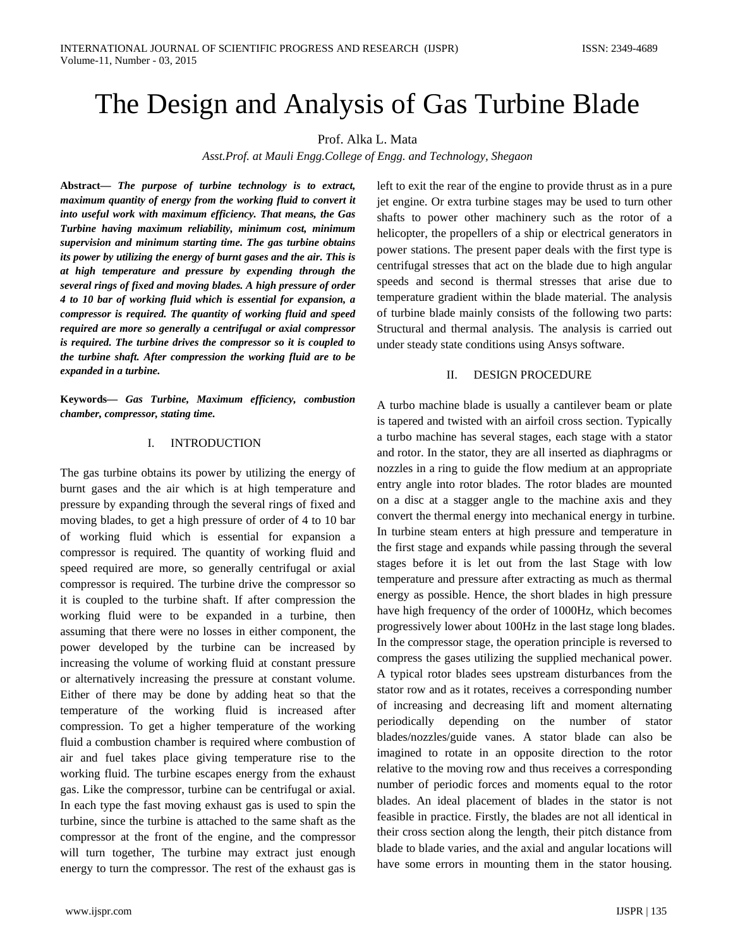# The Design and Analysis of Gas Turbine Blade

Prof. Alka L. Mata

*Asst.Prof. at Mauli Engg.College of Engg. and Technology, Shegaon*

**Abstract***— The purpose of turbine technology is to extract, maximum quantity of energy from the working fluid to convert it into useful work with maximum efficiency. That means, the Gas Turbine having maximum reliability, minimum cost, minimum supervision and minimum starting time. The gas turbine obtains its power by utilizing the energy of burnt gases and the air. This is at high temperature and pressure by expending through the several rings of fixed and moving blades. A high pressure of order 4 to 10 bar of working fluid which is essential for expansion, a compressor is required. The quantity of working fluid and speed required are more so generally a centrifugal or axial compressor is required. The turbine drives the compressor so it is coupled to the turbine shaft. After compression the working fluid are to be expanded in a turbine.* 

**Keywords***— Gas Turbine, Maximum efficiency, combustion chamber, compressor, stating time.*

### I. INTRODUCTION

The gas turbine obtains its power by utilizing the energy of burnt gases and the air which is at high temperature and pressure by expanding through the several rings of fixed and moving blades, to get a high pressure of order of 4 to 10 bar of working fluid which is essential for expansion a compressor is required. The quantity of working fluid and speed required are more, so generally centrifugal or axial compressor is required. The turbine drive the compressor so it is coupled to the turbine shaft. If after compression the working fluid were to be expanded in a turbine, then assuming that there were no losses in either component, the power developed by the turbine can be increased by increasing the volume of working fluid at constant pressure or alternatively increasing the pressure at constant volume. Either of there may be done by adding heat so that the temperature of the working fluid is increased after compression. To get a higher temperature of the working fluid a combustion chamber is required where combustion of air and fuel takes place giving temperature rise to the working fluid. The turbine escapes energy from the exhaust gas. Like the compressor, turbine can be centrifugal or axial. In each type the fast moving exhaust gas is used to spin the turbine, since the turbine is attached to the same shaft as the compressor at the front of the engine, and the compressor will turn together, The turbine may extract just enough energy to turn the compressor. The rest of the exhaust gas is

left to exit the rear of the engine to provide thrust as in a pure jet engine. Or extra turbine stages may be used to turn other shafts to power other machinery such as the rotor of a helicopter, the propellers of a ship or electrical generators in power stations. The present paper deals with the first type is centrifugal stresses that act on the blade due to high angular speeds and second is thermal stresses that arise due to temperature gradient within the blade material. The analysis of turbine blade mainly consists of the following two parts: Structural and thermal analysis. The analysis is carried out under steady state conditions using Ansys software.

#### II. DESIGN PROCEDURE

A turbo machine blade is usually a cantilever beam or plate is tapered and twisted with an airfoil cross section. Typically a turbo machine has several stages, each stage with a stator and rotor. In the stator, they are all inserted as diaphragms or nozzles in a ring to guide the flow medium at an appropriate entry angle into rotor blades. The rotor blades are mounted on a disc at a stagger angle to the machine axis and they convert the thermal energy into mechanical energy in turbine. In turbine steam enters at high pressure and temperature in the first stage and expands while passing through the several stages before it is let out from the last Stage with low temperature and pressure after extracting as much as thermal energy as possible. Hence, the short blades in high pressure have high frequency of the order of 1000Hz, which becomes progressively lower about 100Hz in the last stage long blades. In the compressor stage, the operation principle is reversed to compress the gases utilizing the supplied mechanical power. A typical rotor blades sees upstream disturbances from the stator row and as it rotates, receives a corresponding number of increasing and decreasing lift and moment alternating periodically depending on the number of stator blades/nozzles/guide vanes. A stator blade can also be imagined to rotate in an opposite direction to the rotor relative to the moving row and thus receives a corresponding number of periodic forces and moments equal to the rotor blades. An ideal placement of blades in the stator is not feasible in practice. Firstly, the blades are not all identical in their cross section along the length, their pitch distance from blade to blade varies, and the axial and angular locations will have some errors in mounting them in the stator housing.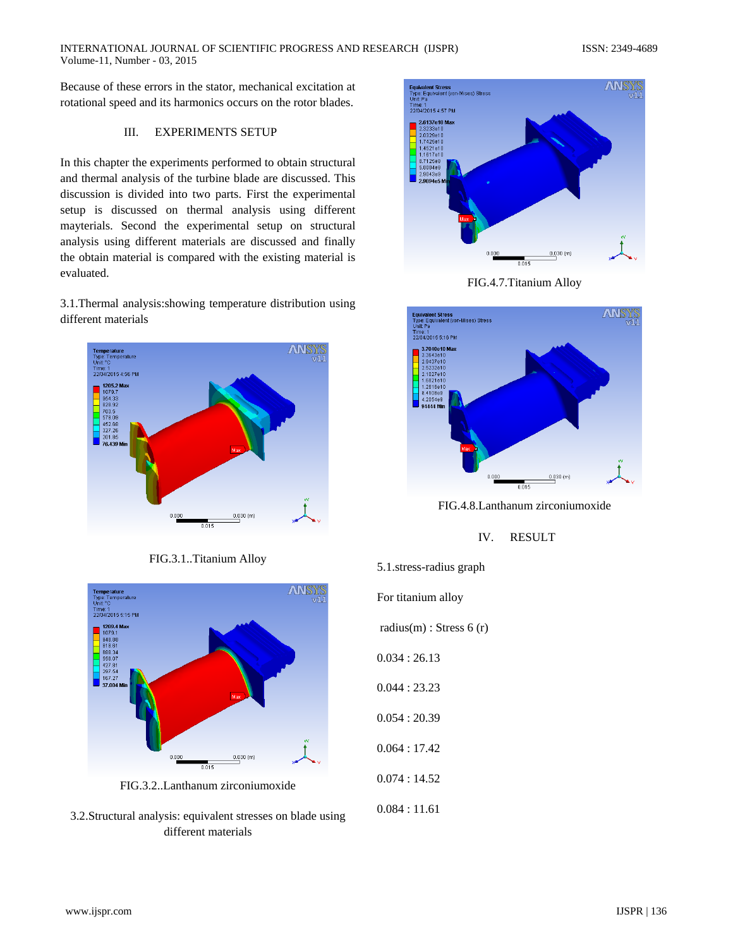Because of these errors in the stator, mechanical excitation at rotational speed and its harmonics occurs on the rotor blades.

## III. EXPERIMENTS SETUP

In this chapter the experiments performed to obtain structural and thermal analysis of the turbine blade are discussed. This discussion is divided into two parts. First the experimental setup is discussed on thermal analysis using different mayterials. Second the experimental setup on structural analysis using different materials are discussed and finally the obtain material is compared with the existing material is evaluated.

3.1.Thermal analysis:showing temperature distribution using different materials



FIG.3.1..Titanium Alloy



FIG.3.2..Lanthanum zirconiumoxide

3.2.Structural analysis: equivalent stresses on blade using different materials



FIG.4.7.Titanium Alloy



FIG.4.8.Lanthanum zirconiumoxide

# IV. RESULT

5.1.stress-radius graph For titanium alloy radius $(m)$ : Stress 6  $(r)$ 0.034 : 26.13 0.044 : 23.23 0.054 : 20.39 0.064 : 17.42 0.074 : 14.52 0.084 : 11.61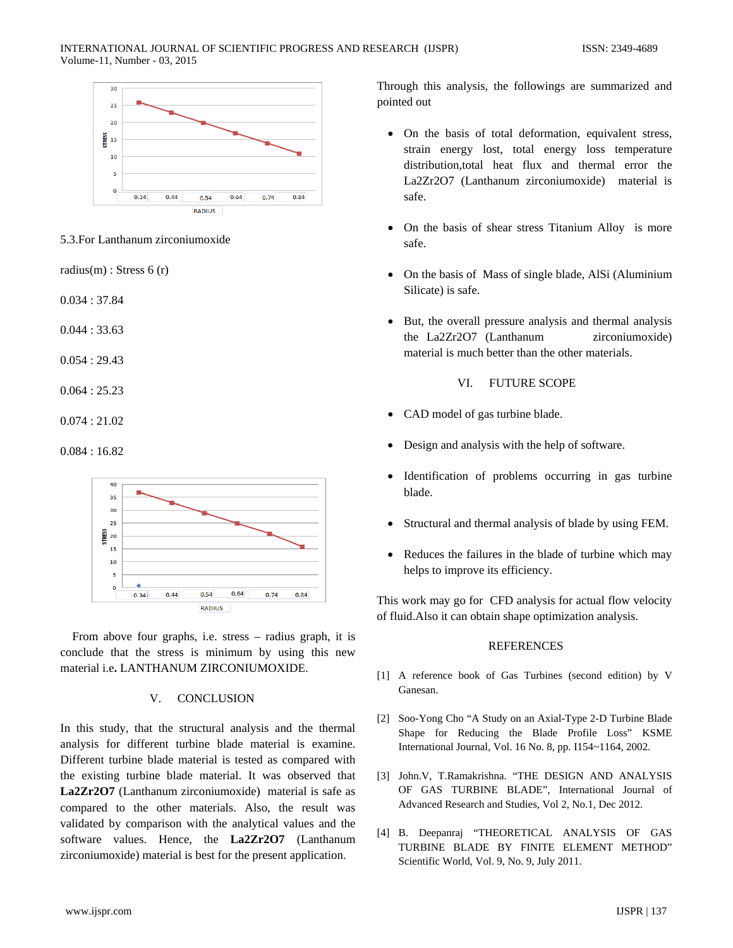#### INTERNATIONAL JOURNAL OF SCIENTIFIC PROGRESS AND RESEARCH (IJSPR) ISSN: 2349-4689 Volume-11, Number - 03, 2015



5.3.For Lanthanum zirconiumoxide

radius(m) : Stress 6 (r)

0.034 : 37.84

0.044 : 33.63

0.054 : 29.43

0.064 : 25.23

0.074 : 21.02

# 0.084 : 16.82



 From above four graphs, i.e. stress – radius graph, it is conclude that the stress is minimum by using this new material i.e**.** LANTHANUM ZIRCONIUMOXIDE.

#### V. CONCLUSION

In this study, that the structural analysis and the thermal analysis for different turbine blade material is examine. Different turbine blade material is tested as compared with the existing turbine blade material. It was observed that **La2Zr2O7** (Lanthanum zirconiumoxide) material is safe as compared to the other materials. Also, the result was validated by comparison with the analytical values and the software values. Hence, the **La2Zr2O7** (Lanthanum zirconiumoxide) material is best for the present application.

Through this analysis, the followings are summarized and pointed out

- On the basis of total deformation, equivalent stress, strain energy lost, total energy loss temperature distribution,total heat flux and thermal error the La2Zr2O7 (Lanthanum zirconiumoxide) material is safe.
- On the basis of shear stress Titanium Alloy is more safe.
- On the basis of Mass of single blade, AlSi (Aluminium Silicate) is safe.
- But, the overall pressure analysis and thermal analysis the La2Zr2O7 (Lanthanum zirconiumoxide) material is much better than the other materials.

# VI. FUTURE SCOPE

- CAD model of gas turbine blade.
- Design and analysis with the help of software.
- Identification of problems occurring in gas turbine blade.
- Structural and thermal analysis of blade by using FEM.
- Reduces the failures in the blade of turbine which may helps to improve its efficiency.

This work may go for CFD analysis for actual flow velocity of fluid.Also it can obtain shape optimization analysis.

# **REFERENCES**

- [1] A reference book of Gas Turbines (second edition) by V Ganesan.
- [2] Soo-Yong Cho "A Study on an Axial-Type 2-D Turbine Blade Shape for Reducing the Blade Profile Loss" KSME International Journal, Vol. 16 No. 8, pp. I154~1164, 2002.
- [3] John.V, T.Ramakrishna. "THE DESIGN AND ANALYSIS OF GAS TURBINE BLADE", International Journal of Advanced Research and Studies, Vol 2, No.1, Dec 2012.
- [4] B. Deepanraj "THEORETICAL ANALYSIS OF GAS TURBINE BLADE BY FINITE ELEMENT METHOD" Scientific World, Vol. 9, No. 9, July 2011.